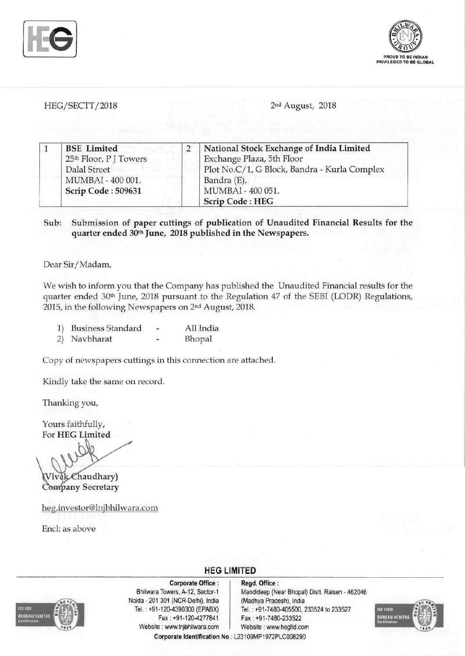



HEG/SECTT/2018 2nd August, 2018

|  | <b>BSE</b> Limited     | National Stock Exchange of India Limited     |
|--|------------------------|----------------------------------------------|
|  | 25th Floor, P J Towers | Exchange Plaza, 5th Floor                    |
|  | Dalal Street           | Plot No.C/1, G Block, Bandra - Kurla Complex |
|  | MUMBAI - 400 001.      | Bandra (E),                                  |
|  | Scrip Code: 509631     | MUMBAI - 400 051.                            |
|  |                        | <b>Scrip Code: HEG</b>                       |

Sub: Submission of paper cuttings of publication of Unaudited Financial Results for the quarter ended 30th June, 2018 published in the Newspapers.

Dear Sir/Madam,

We wish to inform you that the Company has published the Unaudited Financial results for the quarter ended 30th June, 2018 pursuant to the Regulation 47 of the SEBI (LODR) Regulations, 2015, in the following Newspapers on 2nd August, 2018.

| 1) | <b>Business Standard</b> | All India |  |
|----|--------------------------|-----------|--|
|    | 2) Navbharat             | Bhopal    |  |

Copy of newspapers cuttings in this connection are attached.

Kindly take the same on record.

Thanking you,

Yours faithfully, For HEG Limited

Chaudhary) Company Secretary

heg.investor@lnjbhilwara.com

End: as above



Corporate Office : | Regd. Office : Noida 201 301 (NCR-Delhi), India (Madhya Pradesh), India Fax: +91-120-4277841 Fax: +91-7480-233522 Website: www.lnjbhilwara.com | Website: www.hegltd.com

Bhilwara Towers, A-12, Sector-1 Mandideep (Near Bhopal) Distt. Raisen - 462046 Tel. : +91-120-4390300 (EPABX) Tel. : +91-7480-405500, 233524 to 233527



Corporate Identification No.: L23109MP1972PLC008290

**HEG LIMITED**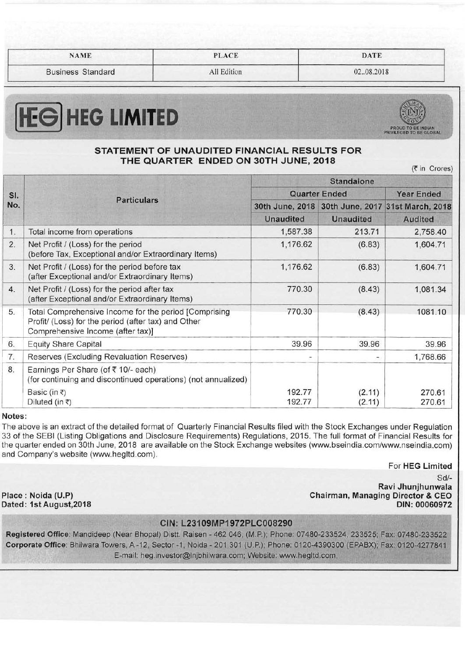|  | <b>NAME</b> |  |
|--|-------------|--|
|  |             |  |

NAME PLACE DATE

Business Standard **All Edition Community** 1 **Community** 1 **Community** 1 **Community** 1 **Community** 1 **Community** 1 **Community** 1 **Community** 1 **Community** 1 **Community** 1 **Community** 1 **Community** 1 **Community** 1 **Communi** 

# **HEG HEG LIMITED**



# STATEMENT OF UNAUDITED FINANCIAL RESULTS FOR THE QUARTER ENDED ON 30TH JUNE, 2018

(₹ in Crores)

| SI.<br>No. |                                                                                                                                                   | <b>Standalone</b>        |                  |                                                  |  |
|------------|---------------------------------------------------------------------------------------------------------------------------------------------------|--------------------------|------------------|--------------------------------------------------|--|
|            |                                                                                                                                                   | <b>Quarter Ended</b>     |                  | <b>Year Ended</b>                                |  |
|            | <b>Particulars</b>                                                                                                                                |                          |                  | 30th June, 2018 30th June, 2017 31st March, 2018 |  |
|            |                                                                                                                                                   | <b>Unaudited</b>         | <b>Unaudited</b> | <b>Audited</b>                                   |  |
| 1.         | Total income from operations                                                                                                                      | 1,587.38                 | 213.71           | 2,758.40                                         |  |
| 2.         | Net Profit / (Loss) for the period<br>(before Tax, Exceptional and/or Extraordinary Items)                                                        | 1,176.62                 | (6.83)           | 1,604.71                                         |  |
| 3.         | Net Profit / (Loss) for the period before tax<br>(after Exceptional and/or Extraordinary Items)                                                   | 1,176.62                 | (6.83)           | 1,604.71                                         |  |
| 4.         | Net Profit / (Loss) for the period after tax<br>(after Exceptional and/or Extraordinary Items)                                                    | 770.30                   | (8.43)           | 1,081.34                                         |  |
| 5.         | Total Comprehensive Income for the period [Comprising<br>Profit/ (Loss) for the period (after tax) and Other<br>Comprehensive Income (after tax)] | 770.30                   | (8.43)           | 1081.10                                          |  |
| 6.         | <b>Equity Share Capital</b>                                                                                                                       | 39.96                    | 39.96            | 39.96                                            |  |
| 7.         | Reserves (Excluding Revaluation Reserves)                                                                                                         | $\overline{\phantom{a}}$ | $\blacksquare$   | 1,768.66                                         |  |
| 8.         | Earnings Per Share (of ₹10/- each)<br>(for continuing and discontinued operations) (not annualized)                                               |                          |                  |                                                  |  |
|            | Basic (in ₹)<br>Diluted (in ₹)                                                                                                                    | 192.77<br>192.77         | (2.11)<br>(2.11) | 270.61<br>270.61                                 |  |
| Notes:     |                                                                                                                                                   |                          |                  |                                                  |  |

The above is an extract of the detailed format of Quarterly Financial Results filed with the Stock Exchanges under Regulation 33 of the SEBI (Listing Obligations and Disclosure Requirements) Regulations, 2015. The full format of Financial Results for the quarter ended on 30th June, 2018 are available on the Stock Exchange websites (www.bseindia.com/www.nseindia.com) and Company's website (www.hegltd.com).

For HEG Limited

Dated: 1st August, 2018

Sd/ Ravi Jhunjhunwala Place: Noida (U.P) Chairman, Managing Director & CEO

## CIN: L23109MP1 972PLC008290

Registered Office: Mandideep (Near Bhopal) Distt. Raisen - 462 046, (M.P.); Phone: 07480-233524, 233525; Fax: 07480-233522 Corporate Office: Bhilwara Towers, A -12, Sector -1, Noida - 201 301 (U.P.); Phone: 0120-4390300 (EPABX); Fax: 0120-4277841 E-mail: heg.investor@lnjbhilwara.com; Website: www.hegltd.com.